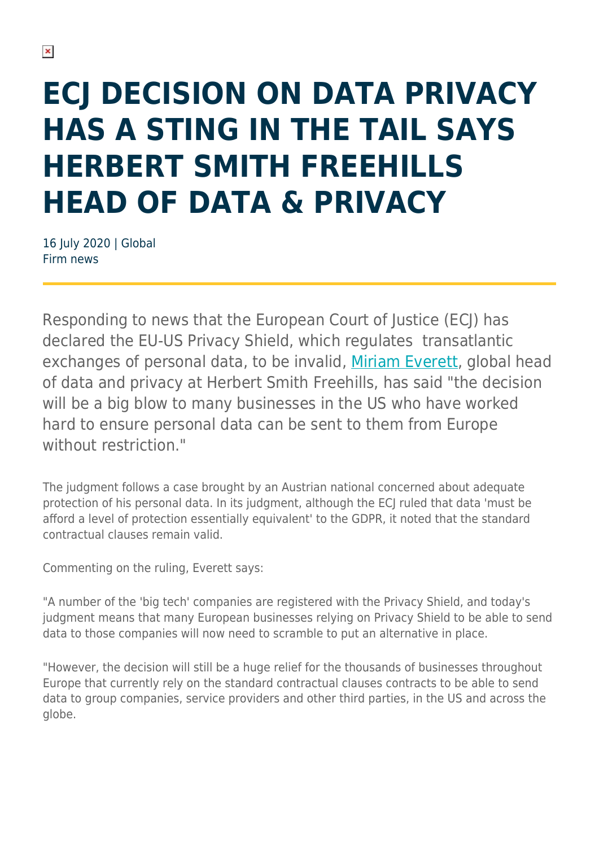## **ECJ DECISION ON DATA PRIVACY HAS A STING IN THE TAIL SAYS HERBERT SMITH FREEHILLS HEAD OF DATA & PRIVACY**

16 July 2020 | Global Firm news

Responding to news that the European Court of Justice (ECJ) has declared the EU-US Privacy Shield, which regulates transatlantic exchanges of personal data, to be invalid, [Miriam Everett](https://www.herbertsmithfreehills.com/our-people/miriam-everett), global head of data and privacy at Herbert Smith Freehills, has said "the decision will be a big blow to many businesses in the US who have worked hard to ensure personal data can be sent to them from Europe without restriction."

The judgment follows a case brought by an Austrian national concerned about adequate protection of his personal data. In its judgment, although the ECJ ruled that data 'must be afford a level of protection essentially equivalent' to the GDPR, it noted that the standard contractual clauses remain valid.

Commenting on the ruling, Everett says:

"A number of the 'big tech' companies are registered with the Privacy Shield, and today's judgment means that many European businesses relying on Privacy Shield to be able to send data to those companies will now need to scramble to put an alternative in place.

"However, the decision will still be a huge relief for the thousands of businesses throughout Europe that currently rely on the standard contractual clauses contracts to be able to send data to group companies, service providers and other third parties, in the US and across the globe.